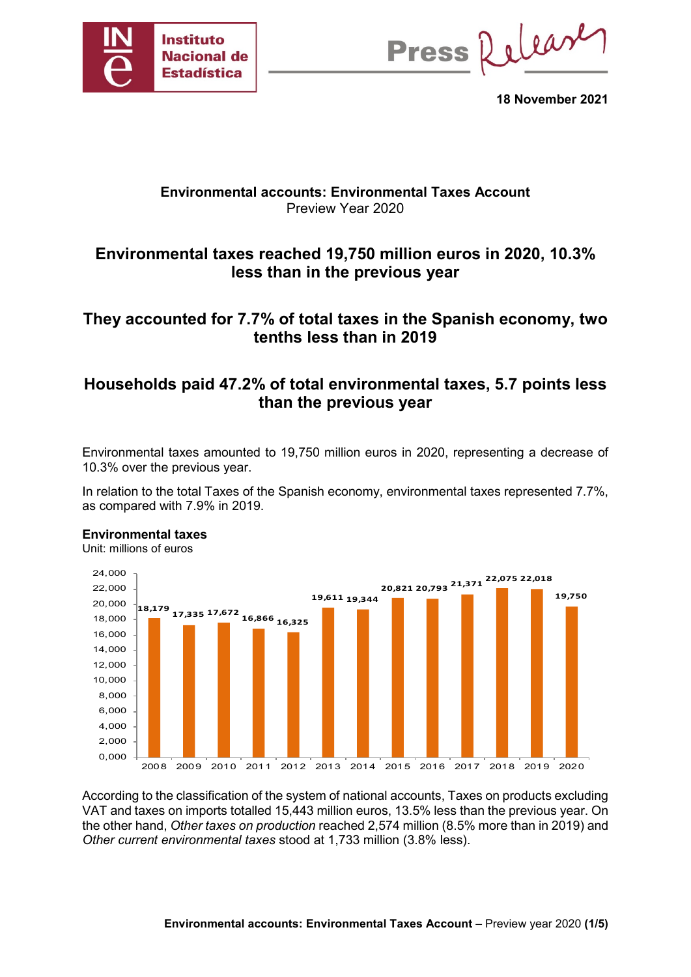

Press Release

**18 November 2021**

## **Environmental accounts: Environmental Taxes Account** Preview Year 2020

# **Environmental taxes reached 19,750 million euros in 2020, 10.3% less than in the previous year**

## **They accounted for 7.7% of total taxes in the Spanish economy, two tenths less than in 2019**

# **Households paid 47.2% of total environmental taxes, 5.7 points less than the previous year**

Environmental taxes amounted to 19,750 million euros in 2020, representing a decrease of 10.3% over the previous year.

In relation to the total Taxes of the Spanish economy, environmental taxes represented 7.7%, as compared with 7.9% in 2019.

### **Environmental taxes**

Unit: millions of euros



According to the classification of the system of national accounts, Taxes on products excluding VAT and taxes on imports totalled 15,443 million euros, 13.5% less than the previous year. On the other hand, *Other taxes on production* reached 2,574 million (8.5% more than in 2019) and *Other current environmental taxes* stood at 1,733 million (3.8% less).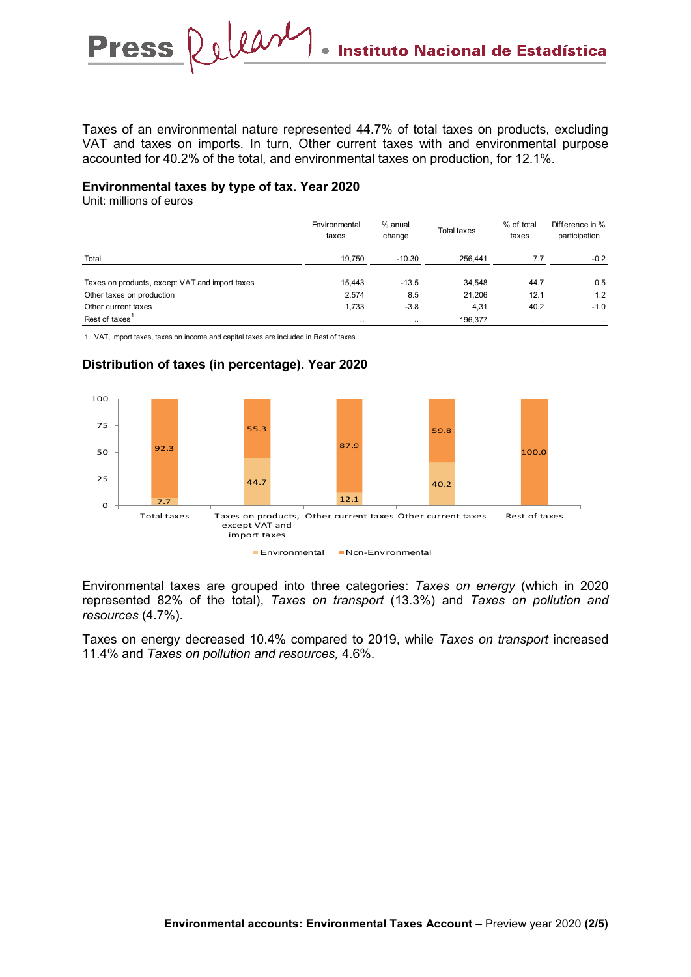Taxes of an environmental nature represented 44.7% of total taxes on products, excluding VAT and taxes on imports. In turn, Other current taxes with and environmental purpose accounted for 40.2% of the total, and environmental taxes on production, for 12.1%.

### **Environmental taxes by type of tax. Year 2020**

Unit: millions of euros

|                                                | Environmental<br>taxes | % anual<br>change | <b>Total taxes</b> | % of total<br>taxes | Difference in %<br>participation |
|------------------------------------------------|------------------------|-------------------|--------------------|---------------------|----------------------------------|
| Total                                          | 19,750                 | $-10.30$          | 256,441            | 77                  | $-0.2$                           |
| Taxes on products, except VAT and import taxes | 15.443                 | $-13.5$           | 34.548             | 44.7                | 0.5                              |
| Other taxes on production                      | 2,574                  | 8.5               | 21,206             | 12.1                | 1.2                              |
| Other current taxes                            | 1,733                  | $-3.8$            | 4,31               | 40.2                | $-1.0$                           |
| Rest of taxes                                  | $\ddotsc$              | $\ddotsc$         | 196,377            | $\ddotsc$           | $\ddotsc$                        |

1. VAT, import taxes, taxes on income and capital taxes are included in Rest of taxes.



## **Distribution of taxes (in percentage). Year 2020**

Environmental taxes are grouped into three categories: *Taxes on energy* (which in 2020 represented 82% of the total), *Taxes on transport* (13.3%) and *Taxes on pollution and resources* (4.7%).

Taxes on energy decreased 10.4% compared to 2019, while *Taxes on transport* increased 11.4% and *Taxes on pollution and resources,* 4.6%.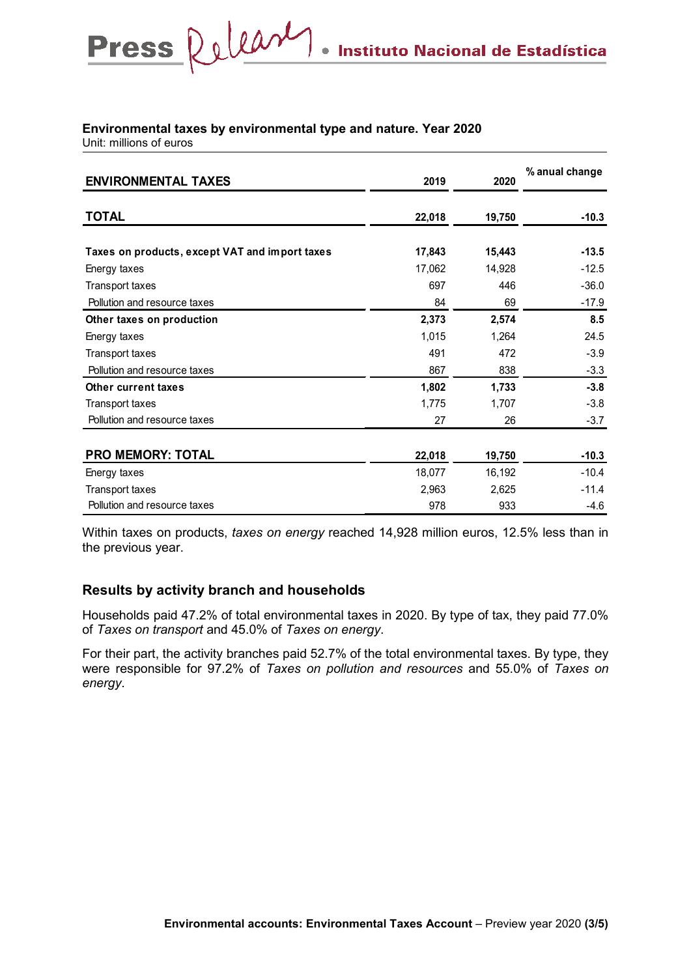# **Environmental taxes by environmental type and nature. Year 2020**

Unit: millions of euros

| <b>ENVIRONMENTAL TAXES</b>                     | 2019   | 2020   | % anual change |
|------------------------------------------------|--------|--------|----------------|
| <b>TOTAL</b>                                   | 22,018 | 19,750 | $-10.3$        |
|                                                |        |        | $-13.5$        |
| Taxes on products, except VAT and import taxes | 17,843 | 15,443 |                |
| Energy taxes                                   | 17,062 | 14,928 | $-12.5$        |
| Transport taxes                                | 697    | 446    | $-36.0$        |
| Pollution and resource taxes                   | 84     | 69     | $-17.9$        |
| Other taxes on production                      | 2,373  | 2,574  | 8.5            |
| Energy taxes                                   | 1,015  | 1,264  | 24.5           |
| Transport taxes                                | 491    | 472    | $-3.9$         |
| Pollution and resource taxes                   | 867    | 838    | $-3.3$         |
| <b>Other current taxes</b>                     | 1,802  | 1,733  | $-3.8$         |
| Transport taxes                                | 1,775  | 1,707  | $-3.8$         |
| Pollution and resource taxes                   | 27     | 26     | $-3.7$         |
|                                                |        |        |                |
| <b>PRO MEMORY: TOTAL</b>                       | 22,018 | 19,750 | $-10.3$        |
| Energy taxes                                   | 18,077 | 16,192 | $-10.4$        |
| Transport taxes                                | 2,963  | 2,625  | $-11.4$        |
| Pollution and resource taxes                   | 978    | 933    | $-4.6$         |

Within taxes on products, *taxes on energy* reached 14,928 million euros, 12.5% less than in the previous year.

## **Results by activity branch and households**

Households paid 47.2% of total environmental taxes in 2020. By type of tax, they paid 77.0% of *Taxes on transport* and 45.0% of *Taxes on energy*.

For their part, the activity branches paid 52.7% of the total environmental taxes. By type, they were responsible for 97.2% of *Taxes on pollution and resources* and 55.0% of *Taxes on energy*.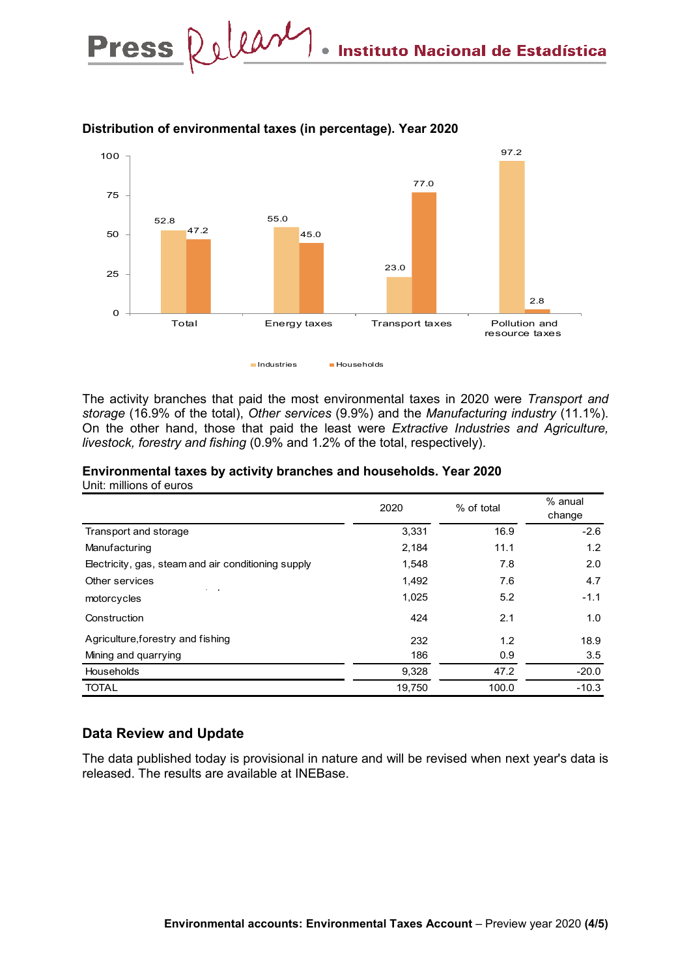

## **Distribution of environmental taxes (in percentage). Year 2020**

The activity branches that paid the most environmental taxes in 2020 were *Transport and storage* (16.9% of the total), *Other services* (9.9%) and the *Manufacturing industry* (11.1%). On the other hand, those that paid the least were *Extractive Industries and Agriculture, livestock, forestry and fishing* (0.9% and 1.2% of the total, respectively).

|                                                     | 2020   | % of total | % anual<br>change |
|-----------------------------------------------------|--------|------------|-------------------|
| Transport and storage                               | 3,331  | 16.9       | $-2.6$            |
| Manufacturing                                       | 2,184  | 11.1       | 1.2               |
| Electricity, gas, steam and air conditioning supply | 1,548  | 7.8        | 2.0               |
| Other services<br>$\sim$ $\sim$ $\sim$              | 1,492  | 7.6        | 4.7               |
| motorcycles                                         | 1,025  | 5.2        | $-1.1$            |
| Construction                                        | 424    | 2.1        | 1.0               |
| Agriculture, forestry and fishing                   | 232    | 1.2        | 18.9              |
| Mining and quarrying                                | 186    | 0.9        | 3.5               |
| Households                                          | 9,328  | 47.2       | $-20.0$           |
| <b>TOTAL</b>                                        | 19,750 | 100.0      | $-10.3$           |

### **Environmental taxes by activity branches and households. Year 2020** Unit: millions of euros

## **Data Review and Update**

The data published today is provisional in nature and will be revised when next year's data is released. The results are available at INEBase.